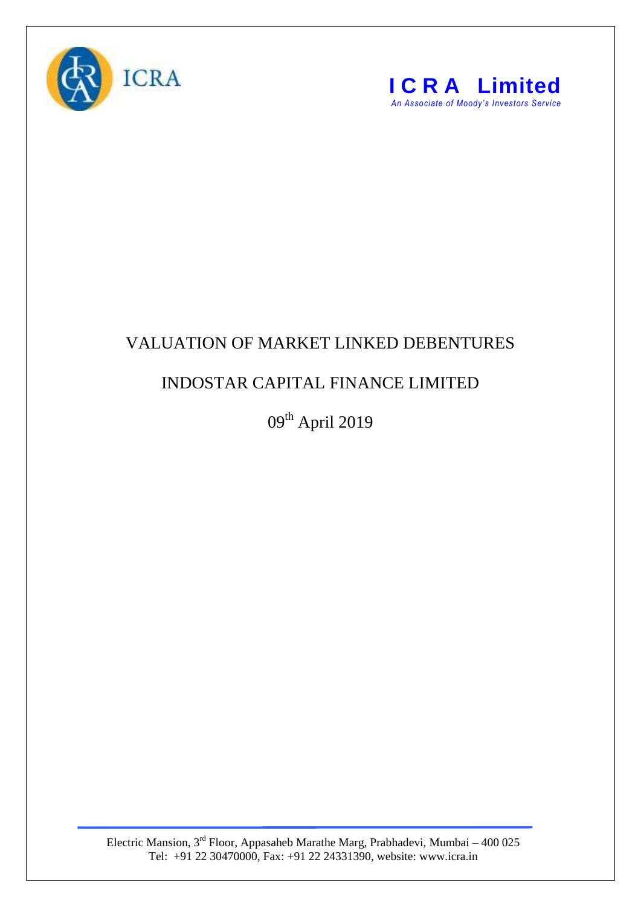



## VALUATION OF MARKET LINKED DEBENTURES

## INDOSTAR CAPITAL FINANCE LIMITED

09<sup>th</sup> April 2019

Electric Mansion,  $3<sup>rd</sup>$  Floor, Appasaheb Marathe Marg, Prabhadevi, Mumbai – 400 025 Tel: +91 22 30470000, Fax: +91 22 24331390, website: www.icra.in